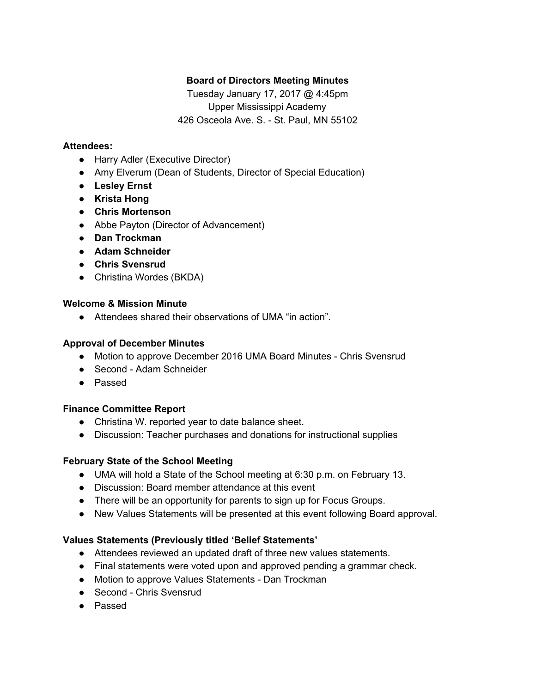# **Board of Directors Meeting Minutes**

Tuesday January 17, 2017 @ 4:45pm Upper Mississippi Academy 426 Osceola Ave. S. - St. Paul, MN 55102

### **Attendees:**

- Harry Adler (Executive Director)
- Amy Elverum (Dean of Students, Director of Special Education)
- **● Lesley Ernst**
- **● Krista Hong**
- **● Chris Mortenson**
- Abbe Payton (Director of Advancement)
- **● Dan Trockman**
- **● Adam Schneider**
- **● Chris Svensrud**
- Christina Wordes (BKDA)

#### **Welcome & Mission Minute**

● Attendees shared their observations of UMA "in action".

## **Approval of December Minutes**

- Motion to approve December 2016 UMA Board Minutes Chris Svensrud
- Second Adam Schneider
- Passed

## **Finance Committee Report**

- Christina W. reported year to date balance sheet.
- Discussion: Teacher purchases and donations for instructional supplies

## **February State of the School Meeting**

- UMA will hold a State of the School meeting at 6:30 p.m. on February 13.
- Discussion: Board member attendance at this event
- There will be an opportunity for parents to sign up for Focus Groups.
- New Values Statements will be presented at this event following Board approval.

## **Values Statements (Previously titled 'Belief Statements'**

- Attendees reviewed an updated draft of three new values statements.
- Final statements were voted upon and approved pending a grammar check.
- Motion to approve Values Statements Dan Trockman
- Second Chris Svensrud
- Passed